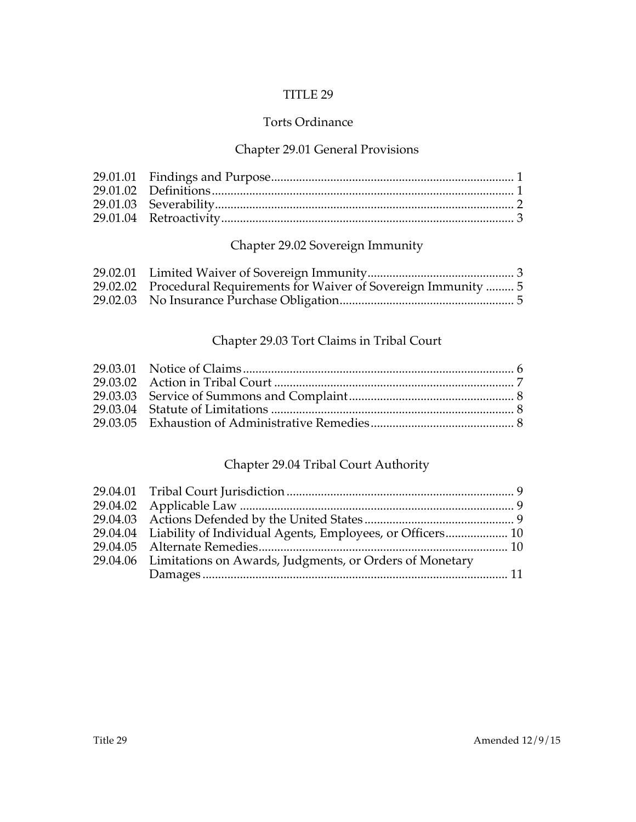# TITLE 29

# Torts Ordinance

# Chapter 29.01 General Provisions

# Chapter 29.02 Sovereign Immunity

| 29.02.02 Procedural Requirements for Waiver of Sovereign Immunity  5 |  |
|----------------------------------------------------------------------|--|
|                                                                      |  |

# Chapter 29.03 Tort Claims in Tribal Court

# Chapter 29.04 Tribal Court Authority

| 29.04.04 Liability of Individual Agents, Employees, or Officers 10 |  |
|--------------------------------------------------------------------|--|
|                                                                    |  |
| 29.04.06 Limitations on Awards, Judgments, or Orders of Monetary   |  |
|                                                                    |  |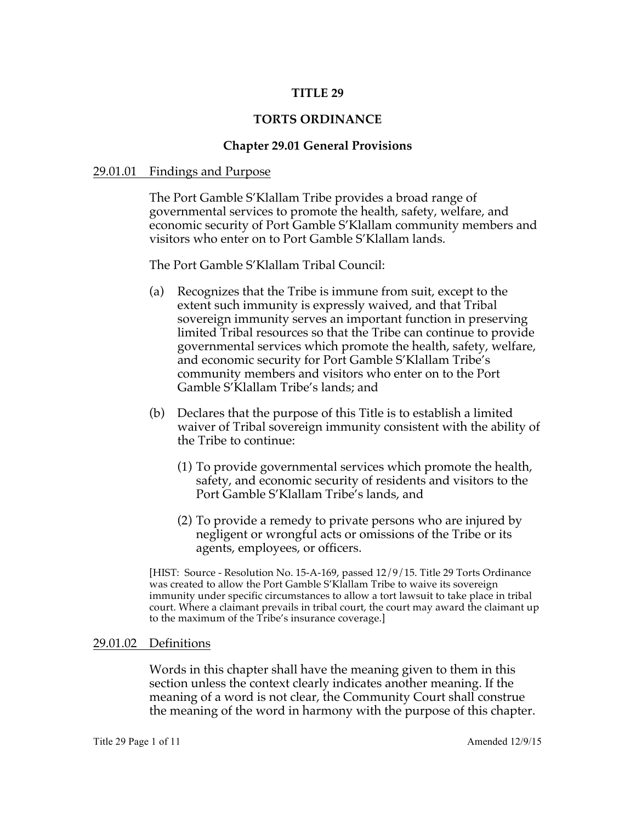## **TITLE 29**

#### **TORTS ORDINANCE**

#### **Chapter 29.01 General Provisions**

#### 29.01.01 Findings and Purpose

The Port Gamble S'Klallam Tribe provides a broad range of governmental services to promote the health, safety, welfare, and economic security of Port Gamble S'Klallam community members and visitors who enter on to Port Gamble S'Klallam lands.

The Port Gamble S'Klallam Tribal Council:

- (a) Recognizes that the Tribe is immune from suit, except to the extent such immunity is expressly waived, and that Tribal sovereign immunity serves an important function in preserving limited Tribal resources so that the Tribe can continue to provide governmental services which promote the health, safety, welfare, and economic security for Port Gamble S'Klallam Tribe's community members and visitors who enter on to the Port Gamble S'Klallam Tribe's lands; and
- (b) Declares that the purpose of this Title is to establish a limited waiver of Tribal sovereign immunity consistent with the ability of the Tribe to continue:
	- (1) To provide governmental services which promote the health, safety, and economic security of residents and visitors to the Port Gamble S'Klallam Tribe's lands, and
	- (2) To provide a remedy to private persons who are injured by negligent or wrongful acts or omissions of the Tribe or its agents, employees, or officers.

[HIST: Source - Resolution No. 15-A-169, passed 12/9/15. Title 29 Torts Ordinance was created to allow the Port Gamble S'Klallam Tribe to waive its sovereign immunity under specific circumstances to allow a tort lawsuit to take place in tribal court. Where a claimant prevails in tribal court, the court may award the claimant up to the maximum of the Tribe's insurance coverage.]

#### 29.01.02 Definitions

Words in this chapter shall have the meaning given to them in this section unless the context clearly indicates another meaning. If the meaning of a word is not clear, the Community Court shall construe the meaning of the word in harmony with the purpose of this chapter.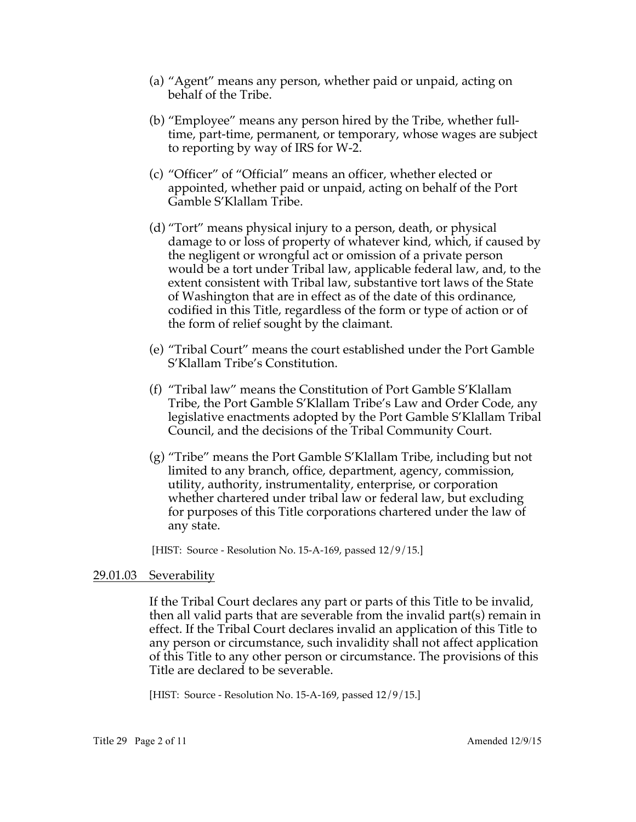- (a) "Agent" means any person, whether paid or unpaid, acting on behalf of the Tribe.
- (b) "Employee" means any person hired by the Tribe, whether fulltime, part-time, permanent, or temporary, whose wages are subject to reporting by way of IRS for W-2.
- (c) "Officer" of "Official" means an officer, whether elected or appointed, whether paid or unpaid, acting on behalf of the Port Gamble S'Klallam Tribe.
- (d) "Tort" means physical injury to a person, death, or physical damage to or loss of property of whatever kind, which, if caused by the negligent or wrongful act or omission of a private person would be a tort under Tribal law, applicable federal law, and, to the extent consistent with Tribal law, substantive tort laws of the State of Washington that are in effect as of the date of this ordinance, codified in this Title, regardless of the form or type of action or of the form of relief sought by the claimant.
- (e) "Tribal Court" means the court established under the Port Gamble S'Klallam Tribe's Constitution.
- (f) "Tribal law" means the Constitution of Port Gamble S'Klallam Tribe, the Port Gamble S'Klallam Tribe's Law and Order Code, any legislative enactments adopted by the Port Gamble S'Klallam Tribal Council, and the decisions of the Tribal Community Court.
- (g) "Tribe" means the Port Gamble S'Klallam Tribe, including but not limited to any branch, office, department, agency, commission, utility, authority, instrumentality, enterprise, or corporation whether chartered under tribal law or federal law, but excluding for purposes of this Title corporations chartered under the law of any state.

[HIST: Source - Resolution No. 15-A-169, passed  $12/9/15$ .]

## 29.01.03 Severability

If the Tribal Court declares any part or parts of this Title to be invalid, then all valid parts that are severable from the invalid part(s) remain in effect. If the Tribal Court declares invalid an application of this Title to any person or circumstance, such invalidity shall not affect application of this Title to any other person or circumstance. The provisions of this Title are declared to be severable.

[HIST: Source - Resolution No. 15-A-169, passed  $12/9/15$ .]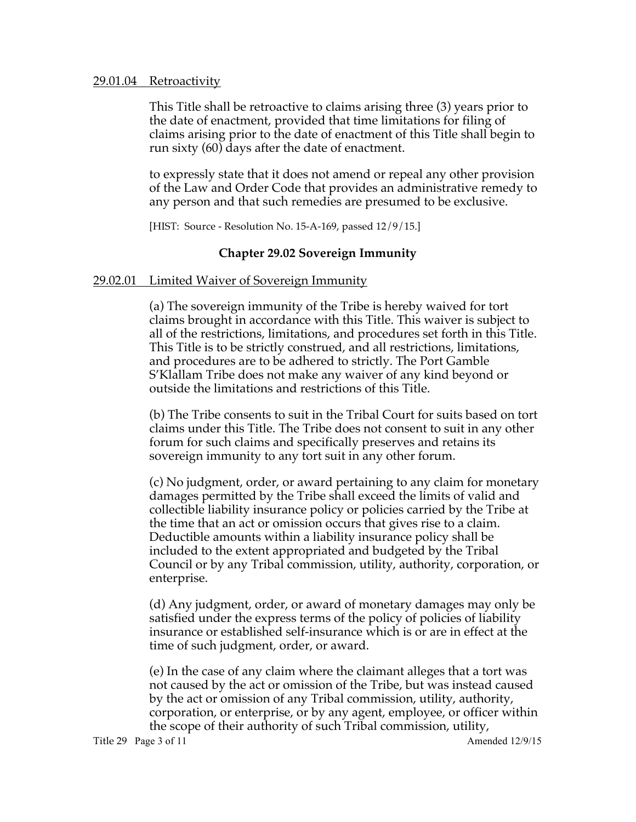#### 29.01.04 Retroactivity

This Title shall be retroactive to claims arising three (3) years prior to the date of enactment, provided that time limitations for filing of claims arising prior to the date of enactment of this Title shall begin to run sixty (60) days after the date of enactment.

to expressly state that it does not amend or repeal any other provision of the Law and Order Code that provides an administrative remedy to any person and that such remedies are presumed to be exclusive.

[HIST: Source - Resolution No. 15-A-169, passed 12/9/15.]

# **Chapter 29.02 Sovereign Immunity**

# 29.02.01 Limited Waiver of Sovereign Immunity

(a) The sovereign immunity of the Tribe is hereby waived for tort claims brought in accordance with this Title. This waiver is subject to all of the restrictions, limitations, and procedures set forth in this Title. This Title is to be strictly construed, and all restrictions, limitations, and procedures are to be adhered to strictly. The Port Gamble S'Klallam Tribe does not make any waiver of any kind beyond or outside the limitations and restrictions of this Title.

(b) The Tribe consents to suit in the Tribal Court for suits based on tort claims under this Title. The Tribe does not consent to suit in any other forum for such claims and specifically preserves and retains its sovereign immunity to any tort suit in any other forum.

(c) No judgment, order, or award pertaining to any claim for monetary damages permitted by the Tribe shall exceed the limits of valid and collectible liability insurance policy or policies carried by the Tribe at the time that an act or omission occurs that gives rise to a claim. Deductible amounts within a liability insurance policy shall be included to the extent appropriated and budgeted by the Tribal Council or by any Tribal commission, utility, authority, corporation, or enterprise.

(d) Any judgment, order, or award of monetary damages may only be satisfied under the express terms of the policy of policies of liability insurance or established self-insurance which is or are in effect at the time of such judgment, order, or award.

(e) In the case of any claim where the claimant alleges that a tort was not caused by the act or omission of the Tribe, but was instead caused by the act or omission of any Tribal commission, utility, authority, corporation, or enterprise, or by any agent, employee, or officer within the scope of their authority of such Tribal commission, utility,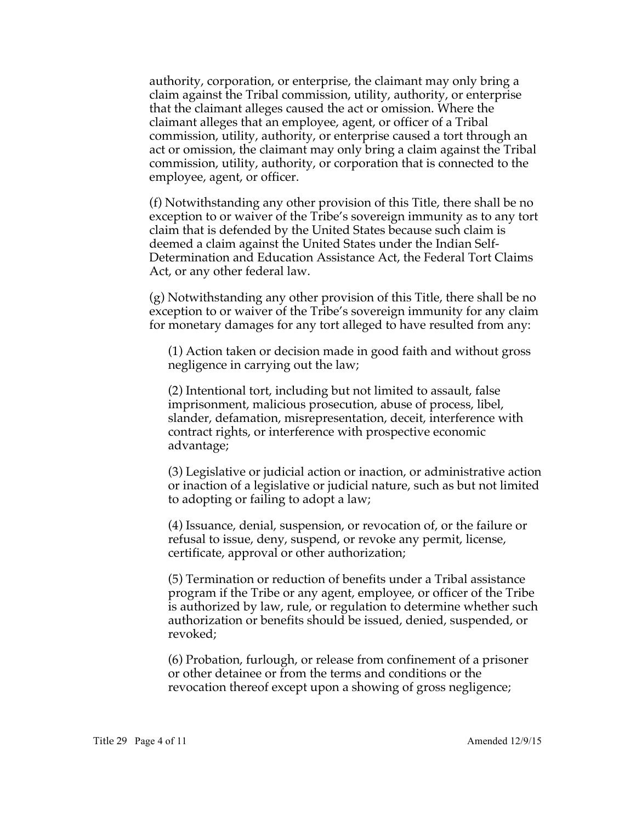authority, corporation, or enterprise, the claimant may only bring a claim against the Tribal commission, utility, authority, or enterprise that the claimant alleges caused the act or omission. Where the claimant alleges that an employee, agent, or officer of a Tribal commission, utility, authority, or enterprise caused a tort through an act or omission, the claimant may only bring a claim against the Tribal commission, utility, authority, or corporation that is connected to the employee, agent, or officer.

(f) Notwithstanding any other provision of this Title, there shall be no exception to or waiver of the Tribe's sovereign immunity as to any tort claim that is defended by the United States because such claim is deemed a claim against the United States under the Indian Self-Determination and Education Assistance Act, the Federal Tort Claims Act, or any other federal law.

(g) Notwithstanding any other provision of this Title, there shall be no exception to or waiver of the Tribe's sovereign immunity for any claim for monetary damages for any tort alleged to have resulted from any:

(1) Action taken or decision made in good faith and without gross negligence in carrying out the law;

(2) Intentional tort, including but not limited to assault, false imprisonment, malicious prosecution, abuse of process, libel, slander, defamation, misrepresentation, deceit, interference with contract rights, or interference with prospective economic advantage;

(3) Legislative or judicial action or inaction, or administrative action or inaction of a legislative or judicial nature, such as but not limited to adopting or failing to adopt a law;

(4) Issuance, denial, suspension, or revocation of, or the failure or refusal to issue, deny, suspend, or revoke any permit, license, certificate, approval or other authorization;

(5) Termination or reduction of benefits under a Tribal assistance program if the Tribe or any agent, employee, or officer of the Tribe is authorized by law, rule, or regulation to determine whether such authorization or benefits should be issued, denied, suspended, or revoked;

(6) Probation, furlough, or release from confinement of a prisoner or other detainee or from the terms and conditions or the revocation thereof except upon a showing of gross negligence;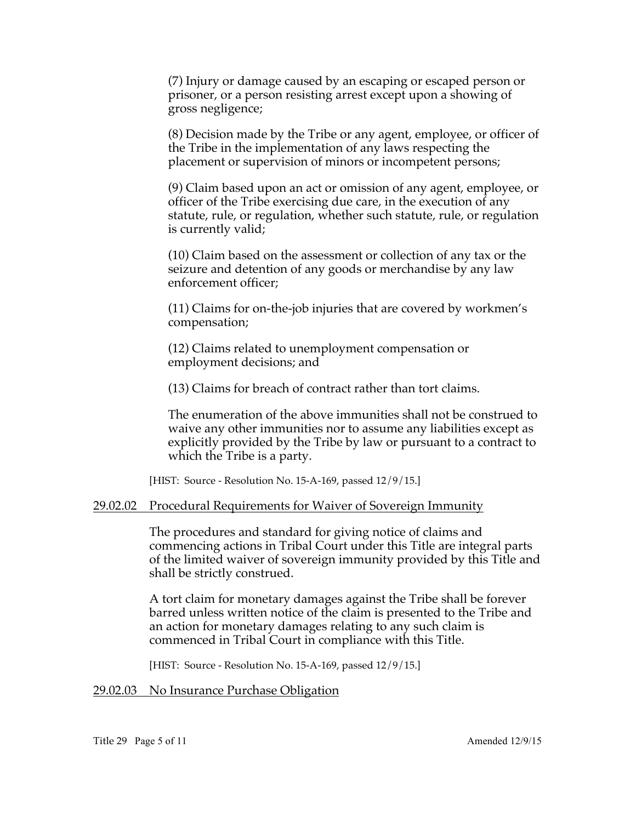(7) Injury or damage caused by an escaping or escaped person or prisoner, or a person resisting arrest except upon a showing of gross negligence;

(8) Decision made by the Tribe or any agent, employee, or officer of the Tribe in the implementation of any laws respecting the placement or supervision of minors or incompetent persons;

(9) Claim based upon an act or omission of any agent, employee, or officer of the Tribe exercising due care, in the execution of any statute, rule, or regulation, whether such statute, rule, or regulation is currently valid;

(10) Claim based on the assessment or collection of any tax or the seizure and detention of any goods or merchandise by any law enforcement officer;

(11) Claims for on-the-job injuries that are covered by workmen's compensation;

(12) Claims related to unemployment compensation or employment decisions; and

(13) Claims for breach of contract rather than tort claims.

The enumeration of the above immunities shall not be construed to waive any other immunities nor to assume any liabilities except as explicitly provided by the Tribe by law or pursuant to a contract to which the Tribe is a party.

[HIST: Source - Resolution No. 15-A-169, passed 12/9/15.]

## 29.02.02 Procedural Requirements for Waiver of Sovereign Immunity

The procedures and standard for giving notice of claims and commencing actions in Tribal Court under this Title are integral parts of the limited waiver of sovereign immunity provided by this Title and shall be strictly construed.

A tort claim for monetary damages against the Tribe shall be forever barred unless written notice of the claim is presented to the Tribe and an action for monetary damages relating to any such claim is commenced in Tribal Court in compliance with this Title.

[HIST: Source - Resolution No. 15-A-169, passed 12/9/15.]

## 29.02.03 No Insurance Purchase Obligation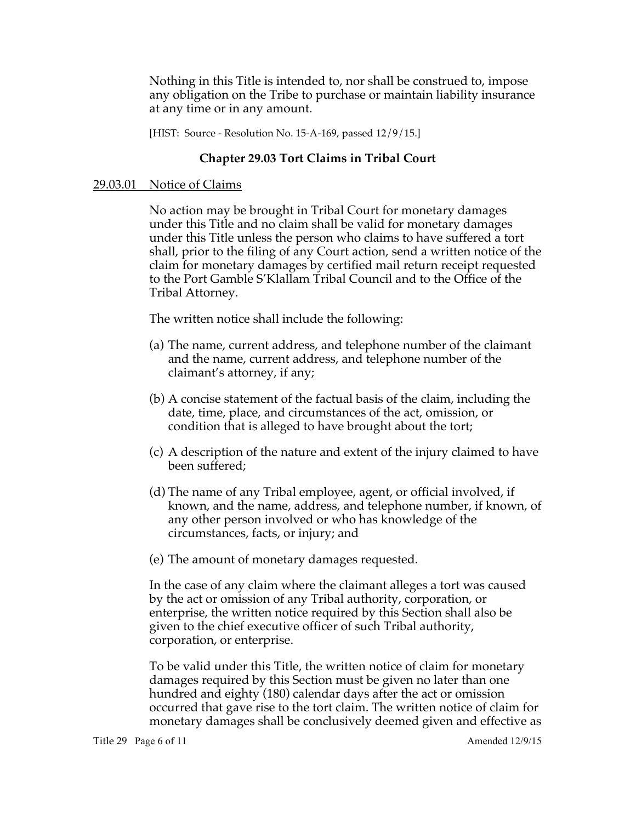Nothing in this Title is intended to, nor shall be construed to, impose any obligation on the Tribe to purchase or maintain liability insurance at any time or in any amount.

[HIST: Source - Resolution No. 15-A-169, passed  $12/9/15$ .]

# **Chapter 29.03 Tort Claims in Tribal Court**

# 29.03.01 Notice of Claims

No action may be brought in Tribal Court for monetary damages under this Title and no claim shall be valid for monetary damages under this Title unless the person who claims to have suffered a tort shall, prior to the filing of any Court action, send a written notice of the claim for monetary damages by certified mail return receipt requested to the Port Gamble S'Klallam Tribal Council and to the Office of the Tribal Attorney.

The written notice shall include the following:

- (a) The name, current address, and telephone number of the claimant and the name, current address, and telephone number of the claimant's attorney, if any;
- (b) A concise statement of the factual basis of the claim, including the date, time, place, and circumstances of the act, omission, or condition that is alleged to have brought about the tort;
- (c) A description of the nature and extent of the injury claimed to have been suffered;
- (d) The name of any Tribal employee, agent, or official involved, if known, and the name, address, and telephone number, if known, of any other person involved or who has knowledge of the circumstances, facts, or injury; and
- (e) The amount of monetary damages requested.

In the case of any claim where the claimant alleges a tort was caused by the act or omission of any Tribal authority, corporation, or enterprise, the written notice required by this Section shall also be given to the chief executive officer of such Tribal authority, corporation, or enterprise.

To be valid under this Title, the written notice of claim for monetary damages required by this Section must be given no later than one hundred and eighty (180) calendar days after the act or omission occurred that gave rise to the tort claim. The written notice of claim for monetary damages shall be conclusively deemed given and effective as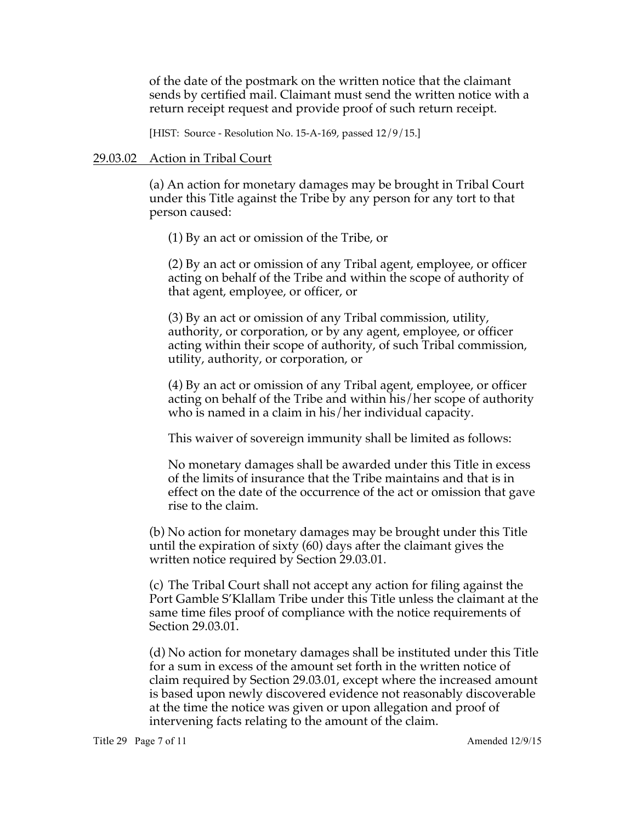of the date of the postmark on the written notice that the claimant sends by certified mail. Claimant must send the written notice with a return receipt request and provide proof of such return receipt.

[HIST: Source - Resolution No. 15-A-169, passed 12/9/15.]

#### 29.03.02 Action in Tribal Court

(a) An action for monetary damages may be brought in Tribal Court under this Title against the Tribe by any person for any tort to that person caused:

(1) By an act or omission of the Tribe, or

(2) By an act or omission of any Tribal agent, employee, or officer acting on behalf of the Tribe and within the scope of authority of that agent, employee, or officer, or

(3) By an act or omission of any Tribal commission, utility, authority, or corporation, or by any agent, employee, or officer acting within their scope of authority, of such Tribal commission, utility, authority, or corporation, or

(4) By an act or omission of any Tribal agent, employee, or officer acting on behalf of the Tribe and within his/her scope of authority who is named in a claim in his/her individual capacity.

This waiver of sovereign immunity shall be limited as follows:

No monetary damages shall be awarded under this Title in excess of the limits of insurance that the Tribe maintains and that is in effect on the date of the occurrence of the act or omission that gave rise to the claim.

(b) No action for monetary damages may be brought under this Title until the expiration of sixty (60) days after the claimant gives the written notice required by Section 29.03.01.

(c) The Tribal Court shall not accept any action for filing against the Port Gamble S'Klallam Tribe under this Title unless the claimant at the same time files proof of compliance with the notice requirements of Section 29.03.01.

(d) No action for monetary damages shall be instituted under this Title for a sum in excess of the amount set forth in the written notice of claim required by Section 29.03.01, except where the increased amount is based upon newly discovered evidence not reasonably discoverable at the time the notice was given or upon allegation and proof of intervening facts relating to the amount of the claim.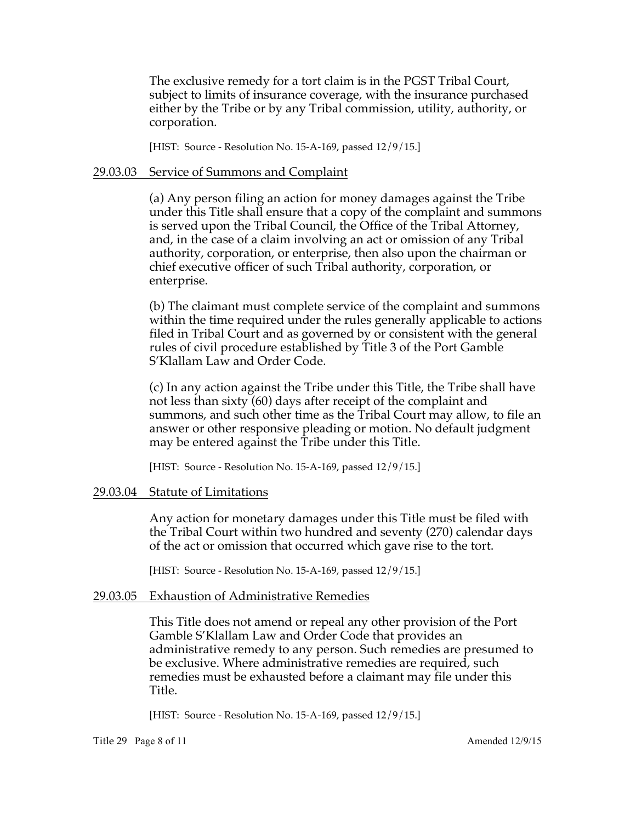The exclusive remedy for a tort claim is in the PGST Tribal Court, subject to limits of insurance coverage, with the insurance purchased either by the Tribe or by any Tribal commission, utility, authority, or corporation.

[HIST: Source - Resolution No. 15-A-169, passed 12/9/15.]

#### 29.03.03 Service of Summons and Complaint

(a) Any person filing an action for money damages against the Tribe under this Title shall ensure that a copy of the complaint and summons is served upon the Tribal Council, the Office of the Tribal Attorney, and, in the case of a claim involving an act or omission of any Tribal authority, corporation, or enterprise, then also upon the chairman or chief executive officer of such Tribal authority, corporation, or enterprise.

(b) The claimant must complete service of the complaint and summons within the time required under the rules generally applicable to actions filed in Tribal Court and as governed by or consistent with the general rules of civil procedure established by Title 3 of the Port Gamble S'Klallam Law and Order Code.

(c) In any action against the Tribe under this Title, the Tribe shall have not less than sixty (60) days after receipt of the complaint and summons, and such other time as the Tribal Court may allow, to file an answer or other responsive pleading or motion. No default judgment may be entered against the Tribe under this Title.

[HIST: Source - Resolution No. 15-A-169, passed  $12/9/15$ .]

#### 29.03.04 Statute of Limitations

Any action for monetary damages under this Title must be filed with the Tribal Court within two hundred and seventy (270) calendar days of the act or omission that occurred which gave rise to the tort.

[HIST: Source - Resolution No. 15-A-169, passed 12/9/15.]

#### 29.03.05 Exhaustion of Administrative Remedies

This Title does not amend or repeal any other provision of the Port Gamble S'Klallam Law and Order Code that provides an administrative remedy to any person. Such remedies are presumed to be exclusive. Where administrative remedies are required, such remedies must be exhausted before a claimant may file under this Title.

[HIST: Source - Resolution No. 15-A-169, passed 12/9/15.]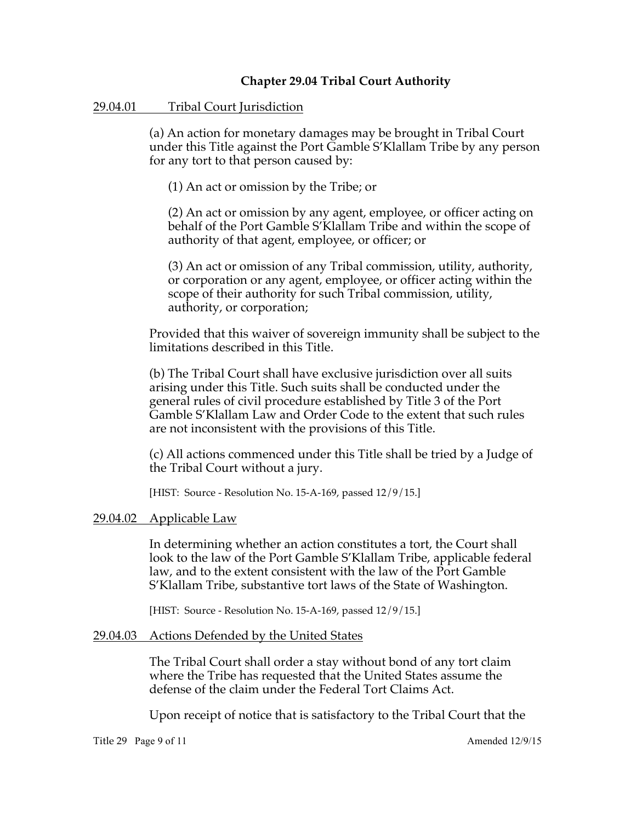# **Chapter 29.04 Tribal Court Authority**

#### 29.04.01 Tribal Court Jurisdiction

(a) An action for monetary damages may be brought in Tribal Court under this Title against the Port Gamble S'Klallam Tribe by any person for any tort to that person caused by:

(1) An act or omission by the Tribe; or

(2) An act or omission by any agent, employee, or officer acting on behalf of the Port Gamble S'Klallam Tribe and within the scope of authority of that agent, employee, or officer; or

(3) An act or omission of any Tribal commission, utility, authority, or corporation or any agent, employee, or officer acting within the scope of their authority for such Tribal commission, utility, authority, or corporation;

Provided that this waiver of sovereign immunity shall be subject to the limitations described in this Title.

(b) The Tribal Court shall have exclusive jurisdiction over all suits arising under this Title. Such suits shall be conducted under the general rules of civil procedure established by Title 3 of the Port Gamble S'Klallam Law and Order Code to the extent that such rules are not inconsistent with the provisions of this Title.

(c) All actions commenced under this Title shall be tried by a Judge of the Tribal Court without a jury.

[HIST: Source - Resolution No. 15-A-169, passed 12/9/15.]

#### 29.04.02 Applicable Law

In determining whether an action constitutes a tort, the Court shall look to the law of the Port Gamble S'Klallam Tribe, applicable federal law, and to the extent consistent with the law of the Port Gamble S'Klallam Tribe, substantive tort laws of the State of Washington.

[HIST: Source - Resolution No. 15-A-169, passed  $12/9/15$ .]

#### 29.04.03 Actions Defended by the United States

The Tribal Court shall order a stay without bond of any tort claim where the Tribe has requested that the United States assume the defense of the claim under the Federal Tort Claims Act.

Upon receipt of notice that is satisfactory to the Tribal Court that the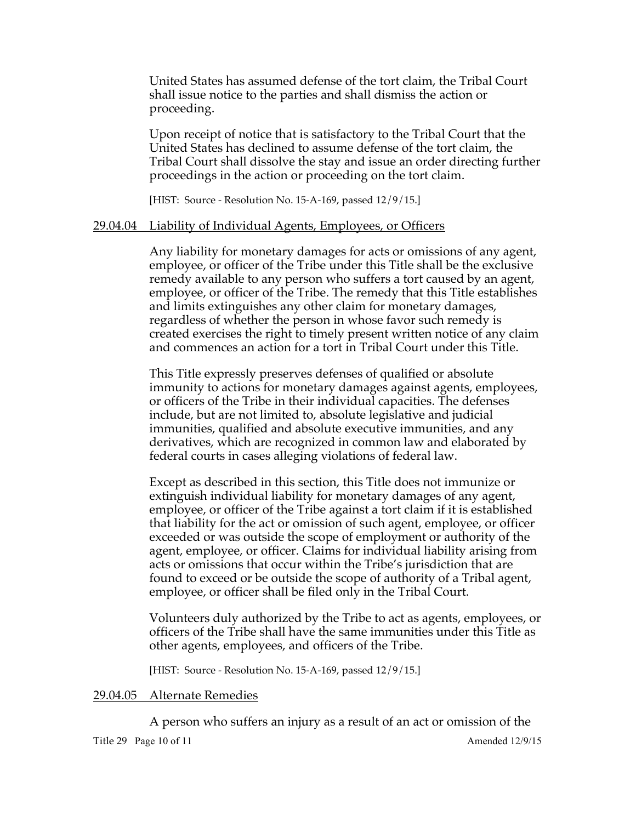United States has assumed defense of the tort claim, the Tribal Court shall issue notice to the parties and shall dismiss the action or proceeding.

Upon receipt of notice that is satisfactory to the Tribal Court that the United States has declined to assume defense of the tort claim, the Tribal Court shall dissolve the stay and issue an order directing further proceedings in the action or proceeding on the tort claim.

[HIST: Source - Resolution No. 15-A-169, passed  $12/9/15$ .]

## 29.04.04 Liability of Individual Agents, Employees, or Officers

Any liability for monetary damages for acts or omissions of any agent, employee, or officer of the Tribe under this Title shall be the exclusive remedy available to any person who suffers a tort caused by an agent, employee, or officer of the Tribe. The remedy that this Title establishes and limits extinguishes any other claim for monetary damages, regardless of whether the person in whose favor such remedy is created exercises the right to timely present written notice of any claim and commences an action for a tort in Tribal Court under this Title.

This Title expressly preserves defenses of qualified or absolute immunity to actions for monetary damages against agents, employees, or officers of the Tribe in their individual capacities. The defenses include, but are not limited to, absolute legislative and judicial immunities, qualified and absolute executive immunities, and any derivatives, which are recognized in common law and elaborated by federal courts in cases alleging violations of federal law.

Except as described in this section, this Title does not immunize or extinguish individual liability for monetary damages of any agent, employee, or officer of the Tribe against a tort claim if it is established that liability for the act or omission of such agent, employee, or officer exceeded or was outside the scope of employment or authority of the agent, employee, or officer. Claims for individual liability arising from acts or omissions that occur within the Tribe's jurisdiction that are found to exceed or be outside the scope of authority of a Tribal agent, employee, or officer shall be filed only in the Tribal Court.

Volunteers duly authorized by the Tribe to act as agents, employees, or officers of the Tribe shall have the same immunities under this Title as other agents, employees, and officers of the Tribe.

[HIST: Source - Resolution No. 15-A-169, passed  $12/9/15$ .]

#### 29.04.05 Alternate Remedies

A person who suffers an injury as a result of an act or omission of the